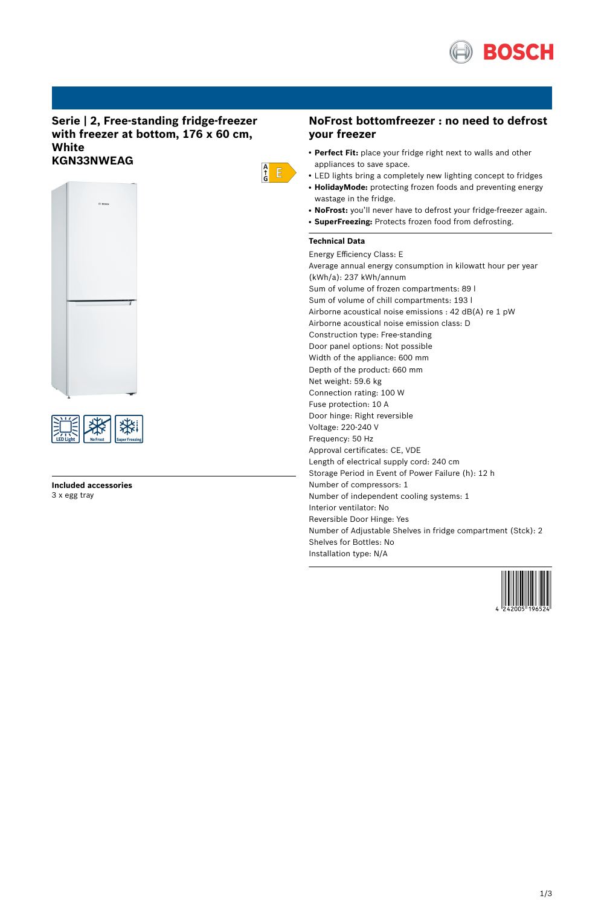

### **Serie | 2, Free-standing fridge-freezer with freezer at bottom, 176 x 60 cm, White KGN33NWEAG**





#### **Included accessories** 3 x egg tray

# **NoFrost bottomfreezer : no need to defrost your freezer**

- Perfect Fit: place your fridge right next to walls and other appliances to save space.
- LED lights bring a completely new lighting concept to fridges
- HolidayMode: protecting frozen foods and preventing energy wastage in the fridge.
- NoFrost: you'll never have to defrost your fridge-freezer again.
- **SuperFreezing:** Protects frozen food from defrosting.

### **Technical Data**

 $\frac{A}{G}$   $E$ 

Energy Efficiency Class: E Average annual energy consumption in kilowatt hour per year (kWh/a): 237 kWh/annum Sum of volume of frozen compartments: 89 l Sum of volume of chill compartments: 193 l Airborne acoustical noise emissions : 42 dB(A) re 1 pW Airborne acoustical noise emission class: D Construction type: Free-standing Door panel options: Not possible Width of the appliance: 600 mm Depth of the product: 660 mm Net weight: 59.6 kg Connection rating: 100 W Fuse protection: 10 A Door hinge: Right reversible Voltage: 220-240 V Frequency: 50 Hz Approval certificates: CE, VDE Length of electrical supply cord: 240 cm Storage Period in Event of Power Failure (h): 12 h Number of compressors: 1 Number of independent cooling systems: 1 Interior ventilator: No Reversible Door Hinge: Yes Number of Adjustable Shelves in fridge compartment (Stck): 2 Shelves for Bottles: No Installation type: N/A

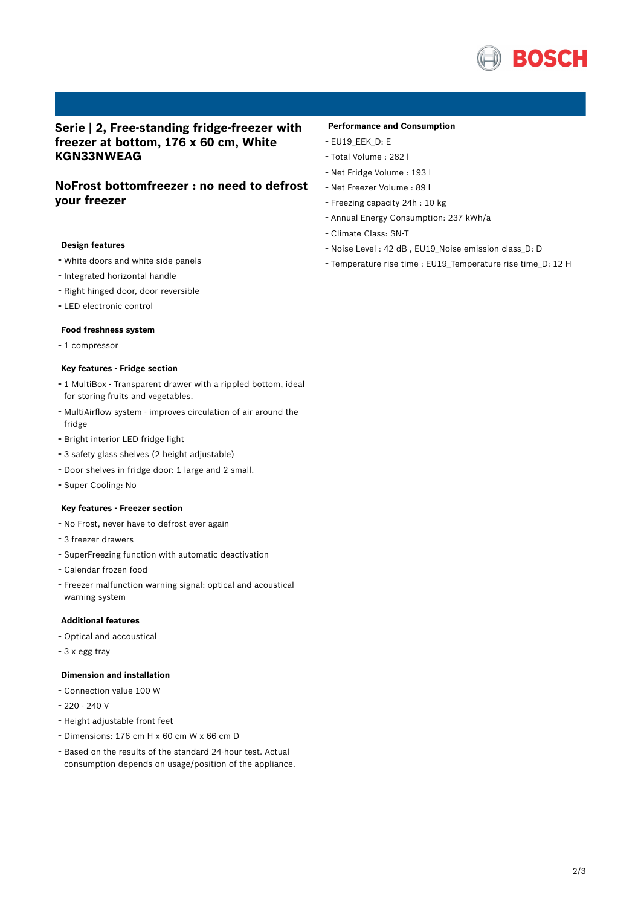

## **Serie | 2, Free-standing fridge-freezer with freezer at bottom, 176 x 60 cm, White KGN33NWEAG**

## **NoFrost bottomfreezer : no need to defrost your freezer**

#### **Design features**

- White doors and white side panels
- Integrated horizontal handle
- Right hinged door, door reversible
- LED electronic control

#### **Food freshness system**

- <sup>1</sup> compressor

#### **Key features - Fridge section**

- <sup>1</sup> MultiBox Transparent drawer with <sup>a</sup> rippled bottom, ideal for storing fruits and vegetables.
- MultiAirflow system improves circulation of air around the fridge
- Bright interior LED fridge light
- <sup>3</sup> safety glass shelves (2 height adjustable)
- Door shelves in fridge door: <sup>1</sup> large and <sup>2</sup> small.
- Super Cooling: No

#### **Key features - Freezer section**

- No Frost, never have to defrost ever again
- <sup>3</sup> freezer drawers
- SuperFreezing function with automatic deactivation
- Calendar frozen food
- Freezer malfunction warning signal: optical and acoustical warning system

### **Additional features**

- Optical and accoustical
- <sup>3</sup> <sup>x</sup> egg tray

#### **Dimension and installation**

- Connection value <sup>100</sup> <sup>W</sup>
- 220 240 V
- Height adjustable front feet
- Dimensions: 176 cm H x 60 cm W x 66 cm D
- Based on the results of the standard 24-hour test. Actual consumption depends on usage/position of the appliance.

#### **Performance and Consumption**

- EU19\_EEK\_D: E
- Total Volume : <sup>282</sup> <sup>l</sup>
- Net Fridge Volume : <sup>193</sup> <sup>l</sup>
- Net Freezer Volume : <sup>89</sup> <sup>l</sup>
- Freezing capacity 24h : <sup>10</sup> kg
- Annual Energy Consumption: <sup>237</sup> kWh/a
- Climate Class: SN-T
- Noise Level : <sup>42</sup> dB , EU19\_Noise emission class\_D: <sup>D</sup>
- Temperature rise time : EU19\_Temperature rise time\_D: <sup>12</sup> <sup>H</sup>